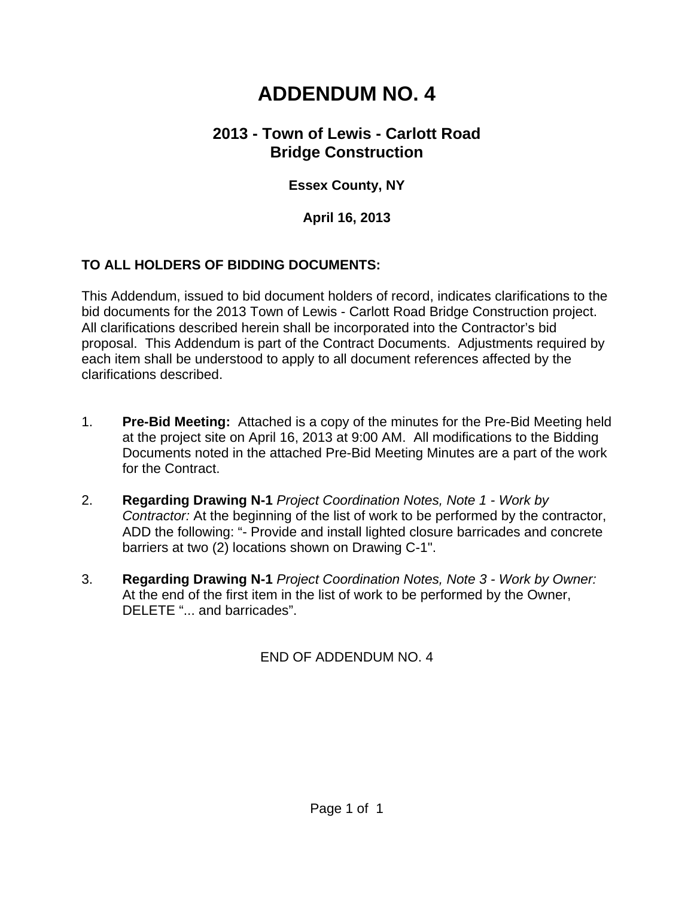# **ADDENDUM NO. 4**

# **2013 - Town of Lewis - Carlott Road Bridge Construction**

## **Essex County, NY**

#### **April 16, 2013**

### **TO ALL HOLDERS OF BIDDING DOCUMENTS:**

This Addendum, issued to bid document holders of record, indicates clarifications to the bid documents for the 2013 Town of Lewis - Carlott Road Bridge Construction project. All clarifications described herein shall be incorporated into the Contractor's bid proposal. This Addendum is part of the Contract Documents. Adjustments required by each item shall be understood to apply to all document references affected by the clarifications described.

- 1. **Pre-Bid Meeting:** Attached is a copy of the minutes for the Pre-Bid Meeting held at the project site on April 16, 2013 at 9:00 AM. All modifications to the Bidding Documents noted in the attached Pre-Bid Meeting Minutes are a part of the work for the Contract.
- 2. **Regarding Drawing N-1** *Project Coordination Notes, Note 1 Work by Contractor:* At the beginning of the list of work to be performed by the contractor, ADD the following: "- Provide and install lighted closure barricades and concrete barriers at two (2) locations shown on Drawing C-1".
- 3. **Regarding Drawing N-1** *Project Coordination Notes, Note 3 Work by Owner:* At the end of the first item in the list of work to be performed by the Owner, DELETE "... and barricades".

END OF ADDENDUM NO. 4